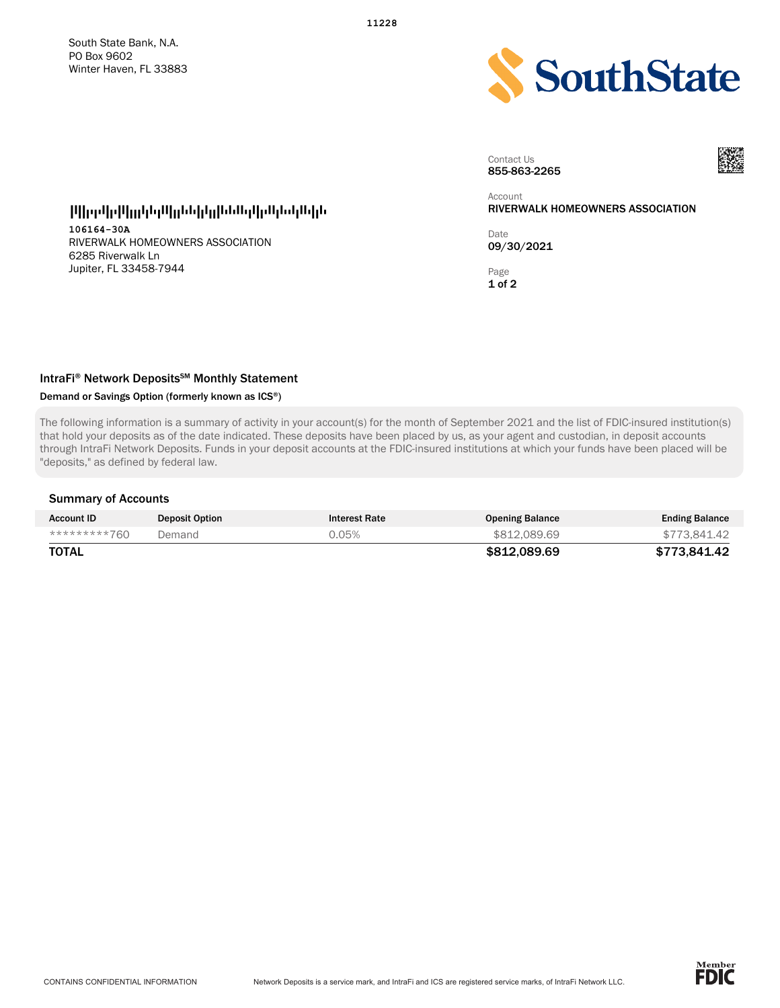

Contact Us 855-863-2265



#### Account RIVERWALK HOMEOWNERS ASSOCIATION

Date 09/30/2021

Page 1 of 2

----------------------

106164-30A RIVERWALK HOMEOWNERS ASSOCIATION 6285 Riverwalk Ln Jupiter, FL 33458-7944

## IntraFi® Network Deposits<sup>SM</sup> Monthly Statement

## Demand or Savings Option (formerly known as ICS®)

The following information is a summary of activity in your account(s) for the month of September 2021 and the list of FDIC-insured institution(s) that hold your deposits as of the date indicated. These deposits have been placed by us, as your agent and custodian, in deposit accounts through IntraFi Network Deposits. Funds in your deposit accounts at the FDIC-insured institutions at which your funds have been placed will be "deposits," as defined by federal law.

#### Summary of Accounts

| <b>Account ID</b> | <b>Deposit Option</b> | <b>Interest Rate</b> | <b>Opening Balance</b> | <b>Ending Balance</b> |
|-------------------|-----------------------|----------------------|------------------------|-----------------------|
| *********760      | Demand                | 0.05%                | \$812,089.69           | \$773.841.42          |
| TOTAL             |                       |                      | \$812.089.69           | \$773.841.42          |

11228